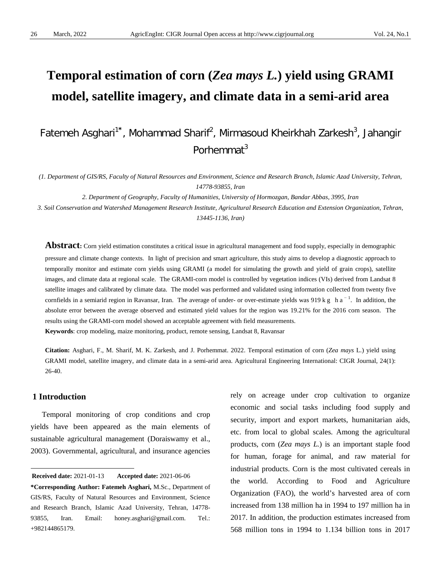# **Temporal estimation of corn (***Zea mays L.***) yield using GRAMI model, satellite imagery, and climate data in a semi-arid area**

Fatemeh Asghari<sup>1\*</sup>, Mohammad Sharif<sup>2</sup>, Mirmasoud Kheirkhah Zarkesh<sup>3</sup>, Jahangir Porhemmat<sup>3</sup>

*(1. Department of GIS/RS, Faculty of Natural Resources and Environment, Science and Research Branch, Islamic Azad University, Tehran, 14778-93855, Iran*

*2. Department of Geography, Faculty of Humanities, University of Hormozgan, Bandar Abbas, 3995, Iran* 

*3. Soil Conservation and Watershed Management Research Institute, Agricultural Research Education and Extension Organization, Tehran, 13445-1136, Iran)*

Abstract: Corn yield estimation constitutes a critical issue in agricultural management and food supply, especially in demographic pressure and climate change contexts. In light of precision and smart agriculture, this study aims to develop a diagnostic approach to temporally monitor and estimate corn yields using GRAMI (a model for simulating the growth and yield of grain crops), satellite images, and climate data at regional scale. The GRAMI-corn model is controlled by vegetation indices (VIs) derived from Landsat 8 satellite images and calibrated by climate data. The model was performed and validated using information collected from twenty five cornfields in a semiarid region in Ravansar, Iran. The average of under- or over-estimate yields was 919 kg ha<sup>-1</sup>. In addition, the absolute error between the average observed and estimated yield values for the region was 19.21% for the 2016 corn season. The results using the GRAMI-corn model showed an acceptable agreement with field measurements. **Keywords**: crop modeling, maize monitoring, product, remote sensing, Landsat 8, Ravansar

**Citation:** Asghari, F., M. Sharif, M. K. Zarkesh, and J. Porhemmat. 2022. Temporal estimation of corn (*Zea mays* L.) yield using GRAMI model, satellite imagery, and climate data in a semi-arid area. Agricultural Engineering International: CIGR Journal, 24(1): 26-40.

## **1 Introduction**

 $\overline{a}$ 

Temporal monitoring of crop conditions and crop yields have been appeared as the main elements of sustainable agricultural management [\(Doraiswamy et al.,](#page-12-0)  [2003\)](#page-12-0). Governmental, agricultural, and insurance agencies rely on acreage under crop cultivation to organize economic and social tasks including food supply and security, import and export markets, humanitarian aids, etc. from local to global scales. Among the agricultural products, corn (*Zea mays L.*) is an important staple food for human, forage for animal, and raw material for industrial products. Corn is the most cultivated cereals in the world. According to Food and Agriculture Organization (FAO), the world's harvested area of corn increased from 138 million ha in 1994 to 197 million ha in 2017. In addition, the production estimates increased from 568 million tons in 1994 to 1.134 billion tons in 2017

<span id="page-0-0"></span>**Received date: 2021-01-13 Accepted date: 2021-06-06** 

**<sup>\*</sup>Corresponding Author: Fatemeh Asghari,** M.Sc., Department of GIS/RS, Faculty of Natural Resources and Environment, Science and Research Branch, Islamic Azad University, Tehran, 14778- 93855, Iran. Email: honey.asghari@gmail.com. Tel.: +982144865179.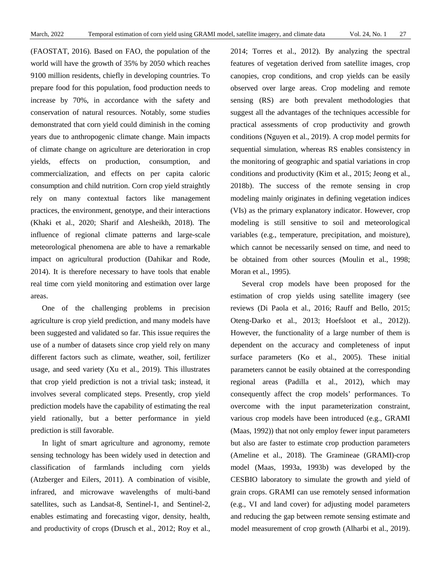[\(FAOSTAT, 2016\)](#page-12-1). Based on FAO, the population of the world will have the growth of 35% by 2050 which reaches 9100 million residents, chiefly in developing countries. To prepare food for this population, food production needs to increase by 70%, in accordance with the safety and conservation of natural resources. Notably, some studies demonstrated that corn yield could diminish in the coming years due to anthropogenic climate change. Main impacts of climate change on agriculture are deterioration in crop yields, effects on production, consumption, and commercialization, and effects on per capita caloric consumption and child nutrition. Corn crop yield straightly rely on many contextual factors like management practices, the environment, genotype, and their interactions [\(Khaki et al., 2020;](#page-13-0) [Sharif and Alesheikh, 2018\)](#page-13-1). The influence of regional climate patterns and large-scale meteorological phenomena are able to have a remarkable impact on agricultural production [\(Dahikar and Rode,](#page-12-2)  [2014\)](#page-12-2). It is therefore necessary to have tools that enable real time corn yield monitoring and estimation over large areas.

One of the challenging problems in precision agriculture is crop yield prediction, and many models have been suggested and validated so far. This issue requires the use of a number of datasets since crop yield rely on many different factors such as climate, weather, soil, fertilizer usage, and seed variety [\(Xu et al., 2019\)](#page-14-0). This illustrates that crop yield prediction is not a trivial task; instead, it involves several complicated steps. Presently, crop yield prediction models have the capability of estimating the real yield rationally, but a better performance in yield prediction is still favorable.

In light of smart agriculture and agronomy, remote sensing technology has been widely used in detection and classification of farmlands including corn yields [\(Atzberger and Eilers, 2011\)](#page-12-3). A combination of visible, infrared, and microwave wavelengths of multi-band satellites, such as Landsat-8, Sentinel-1, and Sentinel-2, enables estimating and forecasting vigor, density, health, and productivity of crops [\(Drusch et al., 2012;](#page-12-4) [Roy et al.,](#page-13-2) 

[2014;](#page-13-2) [Torres et al., 2012\)](#page-14-1). By analyzing the spectral features of vegetation derived from satellite images, crop canopies, crop conditions, and crop yields can be easily observed over large areas. Crop modeling and remote sensing (RS) are both prevalent methodologies that suggest all the advantages of the techniques accessible for practical assessments of crop productivity and growth conditions [\(Nguyen et al., 2019\)](#page-13-3). A crop model permits for sequential simulation, whereas RS enables consistency in the monitoring of geographic and spatial variations in crop conditions and productivity [\(Kim et al., 2015;](#page-13-4) [Jeong et al.,](#page-13-5)  [2018b\)](#page-13-5). The success of the remote sensing in crop modeling mainly originates in defining vegetation indices (VIs) as the primary explanatory indicator. However, crop modeling is still sensitive to soil and meteorological variables (e.g., temperature, precipitation, and moisture), which cannot be necessarily sensed on time, and need to be obtained from other sources [\(Moulin et al., 1998;](#page-13-6) [Moran et al., 1995\)](#page-13-7).

Several crop models have been proposed for the estimation of crop yields using satellite imagery (see reviews [\(Di Paola et al., 2016;](#page-12-5) [Rauff and Bello, 2015;](#page-13-8) [Oteng-Darko et al., 2013;](#page-13-9) [Hoefsloot et al., 2012\)](#page-12-6)). However, the functionality of a large number of them is dependent on the accuracy and completeness of input surface parameters [\(Ko et al., 2005\)](#page-13-10). These initial parameters cannot be easily obtained at the corresponding regional areas [\(Padilla et al., 2012\)](#page-13-11), which may consequently affect the crop models' performances. To overcome with the input parameterization constraint, various crop models have been introduced (e.g., GRAMI [\(Maas, 1992\)](#page-13-12)) that not only employ fewer input parameters but also are faster to estimate crop production parameters [\(Ameline et al., 2018\)](#page-12-7). The Gramineae (GRAMI)-crop model [\(Maas, 1993a,](#page-13-13) [1993b\)](#page-13-14) was developed by the CESBIO laboratory to simulate the growth and yield of grain crops. GRAMI can use remotely sensed information (e.g., VI and land cover) for adjusting model parameters and reducing the gap between remote sensing estimate and model measurement of crop growth [\(Alharbi et al., 2019\)](#page-12-8).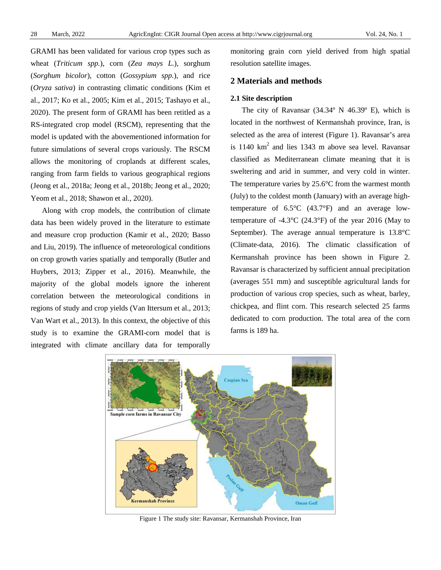GRAMI has been validated for various crop types such as wheat (*Triticum spp.*), corn (*Zea mays L.*), sorghum (*Sorghum bicolor*), cotton (*Gossypium spp.*), and rice (*Oryza sativa*) in contrasting climatic conditions [\(Kim et](#page-13-15)  [al., 2017;](#page-13-15) [Ko et al., 2005;](#page-13-10) [Kim et al., 2015;](#page-13-4) [Tashayo et al.,](#page-13-16)  [2020\)](#page-13-16). The present form of GRAMI has been retitled as a RS-integrated crop model (RSCM), representing that the model is updated with the abovementioned information for future simulations of several crops variously. The RSCM allows the monitoring of croplands at different scales, ranging from farm fields to various geographical regions [\(Jeong et al., 2018a;](#page-12-9) [Jeong et al., 2018b;](#page-13-5) [Jeong et al., 2020;](#page-12-10) [Yeom et al., 2018;](#page-14-2) [Shawon et al., 2020\)](#page-13-17).

Along with crop models, the contribution of climate data has been widely proved in the literature to estimate and measure crop production [\(Kamir et al., 2020;](#page-13-18) [Basso](#page-12-11)  [and Liu, 2019\)](#page-12-11). The influence of meteorological conditions on crop growth varies spatially and temporally [\(Butler and](#page-12-12)  [Huybers, 2013;](#page-12-12) [Zipper et al., 2016\)](#page-14-3). Meanwhile, the majority of the global models ignore the inherent correlation between the meteorological conditions in regions of study and crop yields [\(Van Ittersum et al., 2013;](#page-14-4) [Van Wart et al., 2013\)](#page-14-5). In this context, the objective of this study is to examine the GRAMI-corn model that is integrated with climate ancillary data for temporally

monitoring grain corn yield derived from high spatial resolution satellite images.

## **2 Materials and methods**

#### **2.1 Site description**

The city of Ravansar (34.34º N 46.39º E), which is located in the northwest of Kermanshah province, Iran, is selected as the area of interest (Figure 1). Ravansar's area is 1140  $km^2$  and lies 1343 m above sea level. Ravansar classified as Mediterranean climate meaning that it is sweltering and arid in summer, and very cold in winter. The temperature varies by  $25.6^{\circ}$ C from the warmest month (July) to the coldest month (January) with an average hightemperature of  $6.5^{\circ}$ C (43.7 $^{\circ}$ F) and an average lowtemperature of  $-4.3$ °C (24.3°F) of the year 2016 (May to September). The average annual temperature is 13.8°C [\(Climate-data,](#page-12-13) 2016). The climatic classification of Kermanshah province has been shown in Figure 2. Ravansar is characterized by sufficient annual precipitation (averages 551 mm) and susceptible agricultural lands for production of various crop species, such as wheat, barley, chickpea, and flint corn. This research selected 25 farms dedicated to corn production. The total area of the corn farms is 189 ha.



Figure 1 The study site: Ravansar, Kermanshah Province, Iran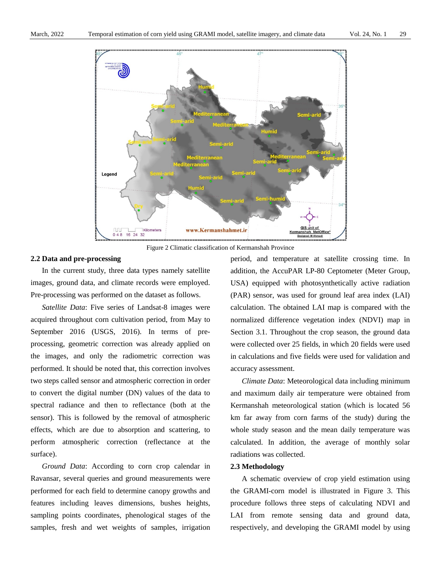

Figure 2 Climatic classification of Kermanshah Province

#### **2.2 Data and pre-processing**

In the current study, three data types namely satellite images, ground data, and climate records were employed. Pre-processing was performed on the dataset as follows.

*Satellite Data*: Five series of Landsat-8 images were acquired throughout corn cultivation period, from May to September 2016 [\(USGS, 2016\)](#page-14-6). In terms of preprocessing, geometric correction was already applied on the images, and only the radiometric correction was performed. It should be noted that, this correction involves two steps called sensor and atmospheric correction in order to convert the digital number (DN) values of the data to spectral radiance and then to reflectance (both at the sensor). This is followed by the removal of atmospheric effects, which are due to absorption and scattering, to perform atmospheric correction (reflectance at the surface).

*Ground Data*: According to corn crop calendar in Ravansar, several queries and ground measurements were performed for each field to determine canopy growths and features including leaves dimensions, bushes heights, sampling points coordinates, phenological stages of the samples, fresh and wet weights of samples, irrigation

period, and temperature at satellite crossing time. In addition, the AccuPAR LP-80 Ceptometer (Meter Group, USA) equipped with photosynthetically active radiation (PAR) sensor, was used for ground leaf area index (LAI) calculation. The obtained LAI map is compared with the normalized difference vegetation index (NDVI) map in Section 3.1. Throughout the crop season, the ground data were collected over 25 fields, in which 20 fields were used in calculations and five fields were used for validation and accuracy assessment.

*Climate Data*: Meteorological data including minimum and maximum daily air temperature were obtained from Kermanshah meteorological station (which is located 56 km far away from corn farms of the study) during the whole study season and the mean daily temperature was calculated. In addition, the average of monthly solar radiations was collected.

## **2.3 Methodology**

A schematic overview of crop yield estimation using the GRAMI-corn model is illustrated in Figure 3. This procedure follows three steps of calculating NDVI and LAI from remote sensing data and ground data, respectively, and developing the GRAMI model by using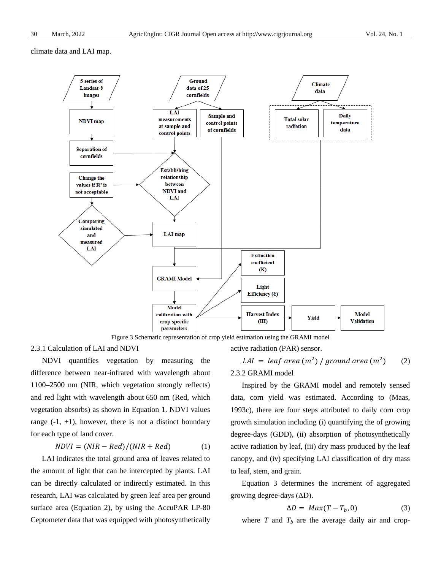climate data and LAI map.



Figure 3 Schematic representation of crop yield estimation using the GRAMI model

2.3.1 Calculation of LAI and NDVI

NDVI quantifies vegetation by measuring the difference between near-infrared with wavelength about 1100–2500 nm (NIR, which vegetation strongly reflects) and red light with wavelength about 650 nm (Red, which vegetation absorbs) as shown in Equation 1. NDVI values range  $(-1, +1)$ , however, there is not a distinct boundary for each type of land cover.

$$
NDVI = (NIR - Red)/(NIR + Red)
$$
 (1)

LAI indicates the total ground area of leaves related to the amount of light that can be intercepted by plants. LAI can be directly calculated or indirectly estimated. In this research, LAI was calculated by green leaf area per ground surface area (Equation 2), by using the AccuPAR LP-80 Ceptometer data that was equipped with photosynthetically

active radiation (PAR) sensor.

LAI = leaf area  $(m^2)$  / ground area  $(m^2)$  (2)

## 2.3.2 GRAMI model

Inspired by the GRAMI model and remotely sensed data, corn yield was estimated. According to [\(Maas,](#page-13-19)  [1993c\)](#page-13-19), there are four steps attributed to daily corn crop growth simulation including (i) quantifying the of growing degree-days (GDD), (ii) absorption of photosynthetically active radiation by leaf, (iii) dry mass produced by the leaf canopy, and (iv) specifying LAI classification of dry mass to leaf, stem, and grain.

Equation 3 determines the increment of aggregated growing degree-days  $(AD)$ .

$$
\Delta D = Max(T - T_b, 0) \tag{3}
$$

where  $T$  and  $T_b$  are the average daily air and crop-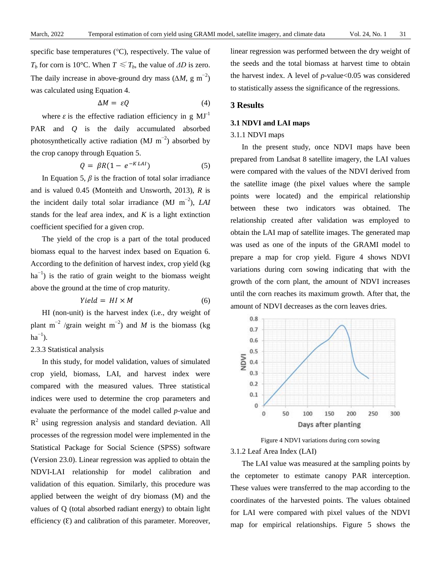specific base temperatures (°C), respectively. The value of *T<sub>b</sub>* for corn is 10°C. When  $T \leq T_b$ , the value of  $\Delta D$  is zero. The daily increase in above-ground dry mass  $(\Delta M, g \text{ m}^{-2})$ was calculated using Equation 4.

$$
\Delta M = \varepsilon Q \tag{4}
$$

where  $\varepsilon$  is the effective radiation efficiency in g MJ<sup>-1</sup> PAR and *Q* is the daily accumulated absorbed photosynthetically active radiation (MJ  $m^{-2}$ ) absorbed by the crop canopy through Equation 5.

$$
Q = \beta R (1 - e^{-K L A I}) \tag{5}
$$

In Equation 5,  $\beta$  is the fraction of total solar irradiance and is valued 0.45 [\(Monteith and Unsworth, 2013\)](#page-13-20), *R* is the incident daily total solar irradiance (MJ m<sup>−</sup><sup>2</sup> ), *LAI*  stands for the leaf area index, and *K* is a light extinction coefficient specified for a given crop.

The yield of the crop is a part of the total produced biomass equal to the harvest index based on Equation 6. According to the definition of harvest index, crop yield (kg ha<sup>-1</sup>) is the ratio of grain weight to the biomass weight above the ground at the time of crop maturity.

$$
Yield = HI \times M \tag{6}
$$

HI (non-unit) is the harvest index (i.e., dry weight of plant m<sup>-2</sup> /grain weight m<sup>-2</sup>) and *M* is the biomass (kg  $ha^{-1}$ ).

## 2.3.3 Statistical analysis

In this study, for model validation, values of simulated crop yield, biomass, LAI, and harvest index were compared with the measured values. Three statistical indices were used to determine the crop parameters and evaluate the performance of the model called *p*-value and  $R<sup>2</sup>$  using regression analysis and standard deviation. All processes of the regression model were implemented in the Statistical Package for Social Science (SPSS) software (Version 23.0). Linear regression was applied to obtain the NDVI-LAI relationship for model calibration and validation of this equation. Similarly, this procedure was applied between the weight of dry biomass (M) and the values of Q (total absorbed radiant energy) to obtain light efficiency  $(E)$  and calibration of this parameter. Moreover,

linear regression was performed between the dry weight of the seeds and the total biomass at harvest time to obtain the harvest index. A level of *p*-value<0.05 was considered to statistically assess the significance of the regressions.

## **3 Results**

## **3.1 NDVI and LAI maps**

#### 3.1.1 NDVI maps

In the present study, once NDVI maps have been prepared from Landsat 8 satellite imagery, the LAI values were compared with the values of the NDVI derived from the satellite image (the pixel values where the sample points were located) and the empirical relationship between these two indicators was obtained. The relationship created after validation was employed to obtain the LAI map of satellite images. The generated map was used as one of the inputs of the GRAMI model to prepare a map for crop yield. Figure 4 shows NDVI variations during corn sowing indicating that with the growth of the corn plant, the amount of NDVI increases until the corn reaches its maximum growth. After that, the amount of NDVI decreases as the corn leaves dries.



Figure 4 NDVI variations during corn sowing 3.1.2 Leaf Area Index (LAI)

The LAI value was measured at the sampling points by the ceptometer to estimate canopy PAR interception. These values were transferred to the map according to the coordinates of the harvested points. The values obtained for LAI were compared with pixel values of the NDVI map for empirical relationships. Figure 5 shows the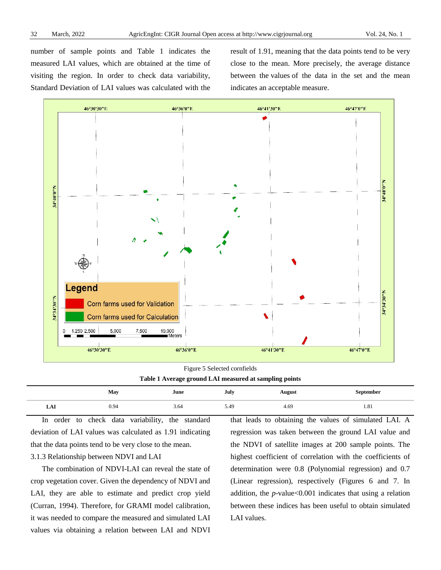number of sample points and Table 1 indicates the measured LAI values, which are obtained at the time of visiting the region. In order to check data variability, Standard Deviation of LAI values was calculated with the result of 1.91, meaning that the data points tend to be very close to the mean. More precisely, the average distance between the values of the data in the set and the mean indicates an acceptable measure.



Figure 5 Selected cornfields

**Table 1 Average ground LAI measured at sampling points**

|     | May  | June | July | <b>August</b> | sentember |
|-----|------|------|------|---------------|-----------|
| LAI | 0.94 | 3.64 | 5.49 | 4.69          | 1.01      |

In order to check data variability, the standard deviation of LAI values was calculated as 1.91 indicating that the data points tend to be very close to the mean.

## 3.1.3 Relationship between NDVI and LAI

The combination of NDVI-LAI can reveal the state of crop vegetation cover. Given the dependency of NDVI and LAI, they are able to estimate and predict crop yield [\(Curran, 1994\)](#page-12-14). Therefore, for GRAMI model calibration, it was needed to compare the measured and simulated LAI values via obtaining a relation between LAI and NDVI

that leads to obtaining the values of simulated LAI. A regression was taken between the ground LAI value and the NDVI of satellite images at 200 sample points. The highest coefficient of correlation with the coefficients of determination were 0.8 (Polynomial regression) and 0.7 (Linear regression), respectively (Figures 6 and 7. In addition, the *p*-value<0.001 indicates that using a relation between these indices has been useful to obtain simulated LAI values.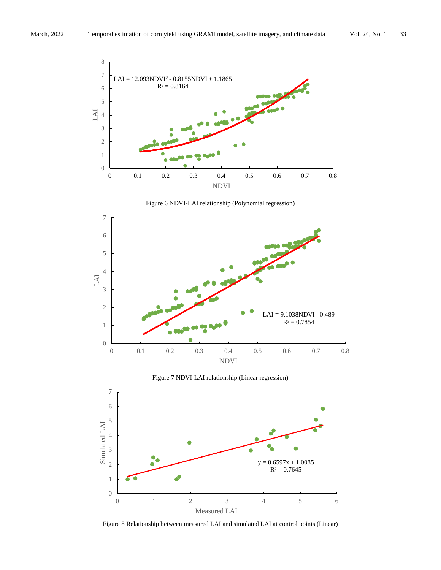

Figure 6 NDVI-LAI relationship (Polynomial regression)



Figure 7 NDVI-LAI relationship (Linear regression)



Figure 8 Relationship between measured LAI and simulated LAI at control points (Linear)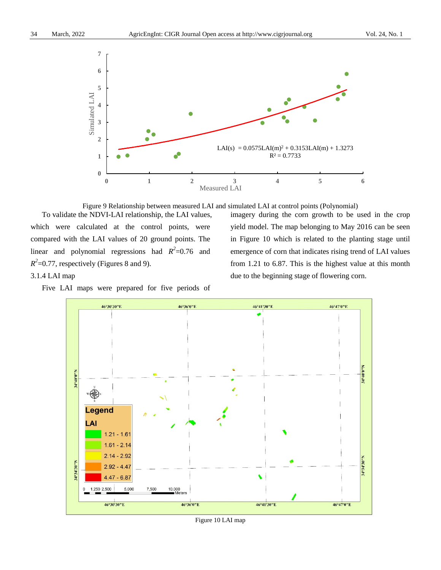

Figure 9 Relationship between measured LAI and simulated LAI at control points (Polynomial)

To validate the NDVI-LAI relationship, the LAI values, which were calculated at the control points, were compared with the LAI values of 20 ground points. The linear and polynomial regressions had  $R^2 = 0.76$  and  $R^2$ =0.77, respectively (Figures 8 and 9).

imagery during the corn growth to be used in the crop yield model. The map belonging to May 2016 can be seen in Figure 10 which is related to the planting stage until emergence of corn that indicates rising trend of LAI values from 1.21 to 6.87. This is the highest value at this month due to the beginning stage of flowering corn.

3.1.4 LAI map

Five LAI maps were prepared for five periods of



Figure 10 LAI map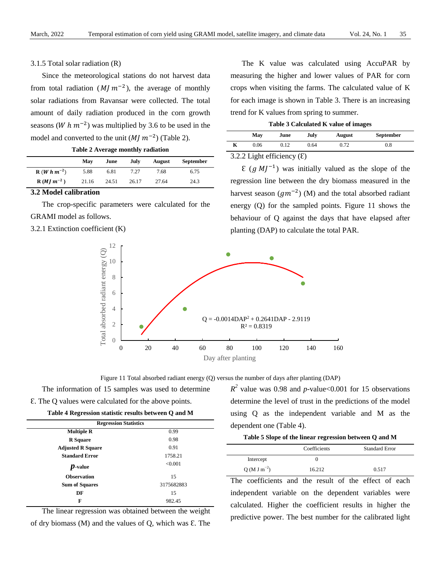## 3.1.5 Total solar radiation (R)

Since the meteorological stations do not harvest data from total radiation ( $M/m^{-2}$ ), the average of monthly solar radiations from Ravansar were collected. The total amount of daily radiation produced in the corn growth seasons (*W*  $h$   $m^{-2}$ ) was multiplied by 3.6 to be used in the model and converted to the unit  $(M/m^{-2})$  (Table 2).

| Table 2 Average monthly radiation |  |
|-----------------------------------|--|
|-----------------------------------|--|

|                                   | May   | June  | July  | <b>August</b> | <b>September</b> |
|-----------------------------------|-------|-------|-------|---------------|------------------|
| ${\bf R}$ ( <i>W</i> h $m^{-2}$ ) | 5.88  | 6.81  | 7.27  | 7.68          | 6.75             |
| $R(M/m^{-2})$                     | 21.16 | 24.51 | 26.17 | 27.64         | 24.3             |

## **3.2 Model calibration**

The crop-specific parameters were calculated for the GRAMI model as follows.

3.2.1 Extinction coefficient (K)

The K value was calculated using AccuPAR by measuring the higher and lower values of PAR for corn crops when visiting the farms. The calculated value of K for each image is shown in Table 3. There is an increasing trend for K values from spring to summer.

|  | Table 3 Calculated K value of images |  |  |  |  |
|--|--------------------------------------|--|--|--|--|
|--|--------------------------------------|--|--|--|--|

| May      | June          | July   | <b>August</b> | <b>September</b> |  |
|----------|---------------|--------|---------------|------------------|--|
| 0.06     | 0.12          | 0.64   | 0.72          | 0.8              |  |
| <b>.</b> | $\sim$ $\sim$ | $\sim$ |               |                  |  |

3.2.2 Light efficiency  $(E)$ 

 $\mathcal{E}$  (*g M* $I^{-1}$ ) was initially valued as the slope of the regression line between the dry biomass measured in the harvest season ( $gm^{-2}$ ) (M) and the total absorbed radiant energy (Q) for the sampled points. Figure 11 shows the behaviour of Q against the days that have elapsed after planting (DAP) to calculate the total PAR.



Figure 11 Total absorbed radiant energy (Q) versus the number of days after planting (DAP)

The information of 15 samples was used to determine Ԑ. The Q values were calculated for the above points.

**Table 4 Regression statistic results between Q and M**

| <b>Regression Statistics</b> |            |  |  |  |  |  |  |
|------------------------------|------------|--|--|--|--|--|--|
| <b>Multiple R</b>            | 0.99       |  |  |  |  |  |  |
| <b>R</b> Square              | 0.98       |  |  |  |  |  |  |
| <b>Adjusted R Square</b>     | 0.91       |  |  |  |  |  |  |
| <b>Standard Error</b>        | 1758.21    |  |  |  |  |  |  |
| $\boldsymbol{p}$ -value      | < 0.001    |  |  |  |  |  |  |
| <b>Observation</b>           | 15         |  |  |  |  |  |  |
| <b>Sum of Squares</b>        | 3175682883 |  |  |  |  |  |  |
| DF                           | 15         |  |  |  |  |  |  |
| F                            | 982.45     |  |  |  |  |  |  |

The linear regression was obtained between the weight of dry biomass  $(M)$  and the values of Q, which was  $E$ . The

 $R^2$  value was 0.98 and *p*-value<0.001 for 15 observations determine the level of trust in the predictions of the model using Q as the independent variable and M as the dependent one (Table 4).

|                | Coefficients | <b>Standard Error</b> |
|----------------|--------------|-----------------------|
| Intercept      |              |                       |
| $Q(MJ m^{-2})$ | 16.212       | 0.517                 |

The coefficients and the result of the effect of each independent variable on the dependent variables were calculated. Higher the coefficient results in higher the predictive power. The best number for the calibrated light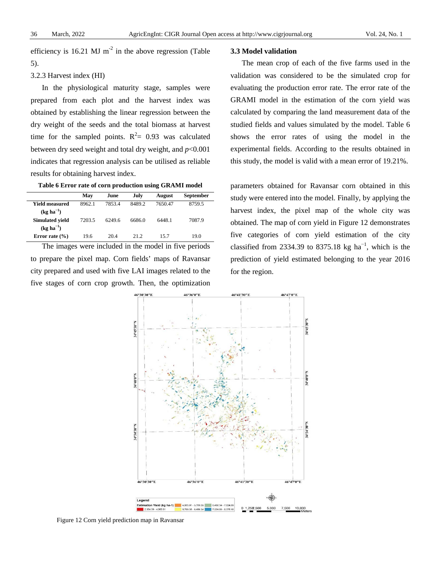efficiency is  $16.21$  MJ m<sup>-2</sup> in the above regression (Table 5).

## 3.2.3 Harvest index (HI)

In the physiological maturity stage, samples were prepared from each plot and the harvest index was obtained by establishing the linear regression between the dry weight of the seeds and the total biomass at harvest time for the sampled points.  $R^2 = 0.93$  was calculated between dry seed weight and total dry weight, and *p*<0.001 indicates that regression analysis can be utilised as reliable results for obtaining harvest index.

| Table 6 Error rate of corn production using GRAMI model |  |  |  |  |  |  |  |  |  |
|---------------------------------------------------------|--|--|--|--|--|--|--|--|--|
|---------------------------------------------------------|--|--|--|--|--|--|--|--|--|

|                              | May    | June   | July   | <b>August</b> | <b>September</b> |
|------------------------------|--------|--------|--------|---------------|------------------|
| Yield measured               | 8962.1 | 78534  | 8489.2 | 7650.47       | 8759.5           |
| $(\text{kg ha}^{-1})$        |        |        |        |               |                  |
| <b>Simulated vield</b>       | 7203.5 | 6249.6 | 6686.0 | 6448.1        | 7087.9           |
| $(\text{kg} \text{ha}^{-1})$ |        |        |        |               |                  |
| Error rate $(\% )$           | 19.6   | 20.4   | 21.2   | 157           | 19.0             |

The images were included in the model in five periods to prepare the pixel map. Corn fields' maps of Ravansar city prepared and used with five LAI images related to the five stages of corn crop growth. Then, the optimization

## **3.3 Model validation**

The mean crop of each of the five farms used in the validation was considered to be the simulated crop for evaluating the production error rate. The error rate of the GRAMI model in the estimation of the corn yield was calculated by comparing the land measurement data of the studied fields and values simulated by the model. Table 6 shows the error rates of using the model in the experimental fields. According to the results obtained in this study, the model is valid with a mean error of 19.21%.

parameters obtained for Ravansar corn obtained in this study were entered into the model. Finally, by applying the harvest index, the pixel map of the whole city was obtained. The map of corn yield in Figure 12 demonstrates five categories of corn yield estimation of the city classified from 2334.39 to 8375.18 kg ha<sup>-1</sup>, which is the prediction of yield estimated belonging to the year 2016 for the region.



Figure 12 Corn yield prediction map in Ravansar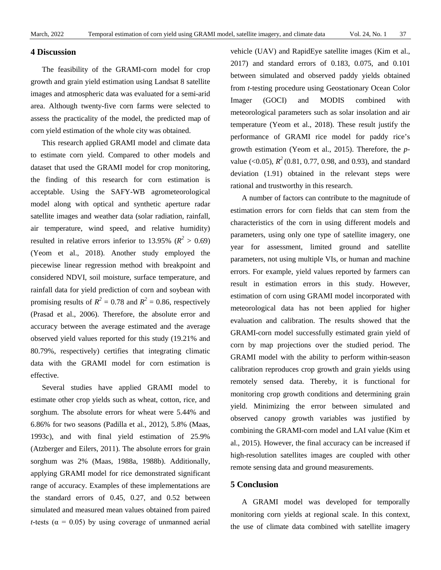## **4 Discussion**

The feasibility of the GRAMI-corn model for crop growth and grain yield estimation using Landsat 8 satellite images and atmospheric data was evaluated for a semi-arid area. Although twenty-five corn farms were selected to assess the practicality of the model, the predicted map of corn yield estimation of the whole city was obtained.

This research applied GRAMI model and climate data to estimate corn yield. Compared to other models and dataset that used the GRAMI model for crop monitoring, the finding of this research for corn estimation is acceptable. Using the SAFY-WB agrometeorological model along with optical and synthetic aperture radar satellite images and weather data (solar radiation, rainfall, air temperature, wind speed, and relative humidity) resulted in relative errors inferior to 13.95% ( $R^2 > 0.69$ ) [\(Yeom et al., 2018\)](#page-14-2). Another study employed the piecewise linear regression method with breakpoint and considered NDVI, soil moisture, surface temperature, and rainfall data for yield prediction of corn and soybean with promising results of  $R^2 = 0.78$  and  $R^2 = 0.86$ , respectively [\(Prasad et al., 2006\)](#page-13-21). Therefore, the absolute error and accuracy between the average estimated and the average observed yield values reported for this study (19.21% and 80.79%, respectively) certifies that integrating climatic data with the GRAMI model for corn estimation is effective.

Several studies have applied GRAMI model to estimate other crop yields such as wheat, cotton, rice, and sorghum. The absolute errors for wheat were 5.44% and 6.86% for two seasons [\(Padilla et al., 2012\)](#page-13-11), 5.8% [\(Maas,](#page-13-19)  [1993c\)](#page-13-19), and with final yield estimation of 25.9% [\(Atzberger and Eilers, 2011\)](#page-12-3). The absolute errors for grain sorghum was 2% [\(Maas, 1988a](#page-13-22), [1988b](#page-13-23)). Additionally, applying GRAMI model for rice demonstrated significant range of accuracy. Examples of these implementations are the standard errors of 0.45, 0.27, and 0.52 between simulated and measured mean values obtained from paired *t*-tests ( $\alpha$  = 0.05) by using coverage of unmanned aerial

vehicle (UAV) and RapidEye satellite images [\(Kim et al.,](#page-13-15)  [2017\)](#page-13-15) and standard errors of 0.183, 0.075, and 0.101 between simulated and observed paddy yields obtained from *t*-testing procedure using Geostationary Ocean Color Imager (GOCI) and MODIS combined with meteorological parameters such as solar insolation and air temperature [\(Yeom et al., 2018\)](#page-14-2). These result justify the performance of GRAMI rice model for paddy rice's growth estimation [\(Yeom et al., 2015\)](#page-14-7). Therefore, the *p*value (<0.05),  $R^2$  (0.81, 0.77, 0.98, and 0.93), and standard deviation (1.91) obtained in the relevant steps were rational and trustworthy in this research.

A number of factors can contribute to the magnitude of estimation errors for corn fields that can stem from the characteristics of the corn in using different models and parameters, using only one type of satellite imagery, one year for assessment, limited ground and satellite parameters, not using multiple VIs, or human and machine errors. For example, yield values reported by farmers can result in estimation errors in this study. However, estimation of corn using GRAMI model incorporated with meteorological data has not been applied for higher evaluation and calibration. The results showed that the GRAMI-corn model successfully estimated grain yield of corn by map projections over the studied period. The GRAMI model with the ability to perform within-season calibration reproduces crop growth and grain yields using remotely sensed data. Thereby, it is functional for monitoring crop growth conditions and determining grain yield. Minimizing the error between simulated and observed canopy growth variables was justified by combining the GRAMI-corn model and LAI value [\(Kim et](#page-13-4)  [al., 2015\)](#page-13-4). However, the final accuracy can be increased if high-resolution satellites images are coupled with other remote sensing data and ground measurements.

## **5 Conclusion**

A GRAMI model was developed for temporally monitoring corn yields at regional scale. In this context, the use of climate data combined with satellite imagery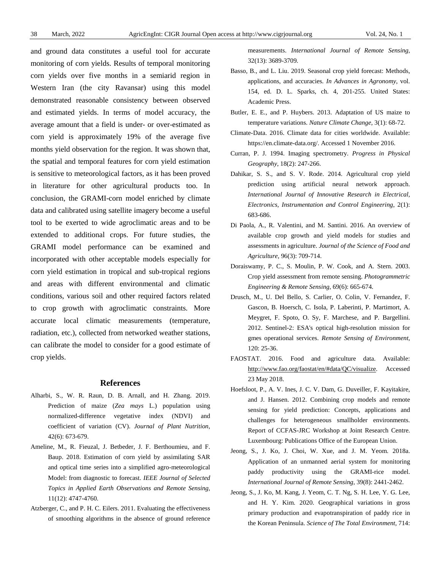and ground data constitutes a useful tool for accurate monitoring of corn yields. Results of temporal monitoring corn yields over five months in a semiarid region in Western Iran (the city Ravansar) using this model demonstrated reasonable consistency between observed and estimated yields. In terms of model accuracy, the average amount that a field is under- or over-estimated as corn yield is approximately 19% of the average five months yield observation for the region. It was shown that, the spatial and temporal features for corn yield estimation is sensitive to meteorological factors, as it has been proved in literature for other agricultural products too. In conclusion, the GRAMI-corn model enriched by climate data and calibrated using satellite imagery become a useful tool to be exerted to wide agroclimatic areas and to be extended to additional crops. For future studies, the GRAMI model performance can be examined and incorporated with other acceptable models especially for corn yield estimation in tropical and sub-tropical regions and areas with different environmental and climatic conditions, various soil and other required factors related to crop growth with agroclimatic constraints. More accurate local climatic measurements (temperature, radiation, etc.), collected from networked weather stations, can calibrate the model to consider for a good estimate of crop yields.

#### **References**

- <span id="page-12-8"></span>Alharbi, S., W. R. Raun, D. B. Arnall, and H. Zhang. 2019. Prediction of maize (*Zea mays* L.) population using normalized-difference vegetative index (NDVI) and coefficient of variation (CV). *Journal of Plant Nutrition*, 42(6): 673-679.
- <span id="page-12-7"></span>Ameline, M., R. Fieuzal, J. Betbeder, J. F. Berthoumieu, and F. Baup. 2018. Estimation of corn yield by assimilating SAR and optical time series into a simplified agro-meteorological Model: from diagnostic to forecast. *IEEE Journal of Selected Topics in Applied Earth Observations and Remote Sensing,* 11(12): 4747-4760.
- <span id="page-12-3"></span>Atzberger, C., and P. H. C. Eilers. 2011. Evaluating the effectiveness of smoothing algorithms in the absence of ground reference

measurements. *International Journal of Remote Sensing,* 32(13): 3689-3709.

- <span id="page-12-11"></span>Basso, B., and L. Liu. 2019. Seasonal crop yield forecast: Methods, applications, and accuracies. *In Advances in Agronomy*, vol. 154, ed. D. L. Sparks, ch. 4, 201-255*.* United States: Academic Press.
- <span id="page-12-12"></span>Butler, E. E., and P. Huybers. 2013. Adaptation of US maize to temperature variations. *Nature Climate Change*, 3(1): 68-72.
- <span id="page-12-13"></span>Climate-Data. 2016. Climate data for cities worldwide. Available: https://en.climate-data.org/. Accessed 1 November 2016.
- <span id="page-12-14"></span>Curran, P. J. 1994. Imaging spectrometry. *Progress in Physical Geography*, 18(2): 247-266.
- <span id="page-12-2"></span>Dahikar, S. S., and S. V. Rode. 2014. Agricultural crop yield prediction using artificial neural network approach. *International Journal of Innovative Research in Electrical, Electronics, Instrumentation and Control Engineering*, 2(1): 683-686.
- <span id="page-12-5"></span>Di Paola, A., R. Valentini, and M. Santini. 2016. An overview of available crop growth and yield models for studies and assessments in agriculture. *Journal of the Science of Food and Agriculture*, 96(3): 709-714.
- <span id="page-12-0"></span>Doraiswamy, P. C., S. Moulin, P. W. Cook, and A. Stern. 2003. Crop yield assessment from remote sensing. *Photogrammetric Engineering & Remote Sensing*, 69(6): 665-674.
- <span id="page-12-4"></span>Drusch, M., U. Del Bello, S. Carlier, O. Colin, V. Fernandez, F. Gascon, B. Hoersch, C. Isola, P. Laberinti, P. Martimort, A. Meygret, F. Spoto, O. Sy, F. Marchese, and P. Bargellini. 2012. Sentinel-2: ESA's optical high-resolution mission for gmes operational services. *Remote Sensing of Environment*, 120: 25-36.
- <span id="page-12-1"></span>FAOSTAT. 2016. Food and agriculture data. Available: [http://www.fao.org/faostat/en/#data/QC/visualize.](http://www.fao.org/faostat/en/%23data/QC/visualize) Accessed 23 May 2018.
- <span id="page-12-6"></span>Hoefsloot, P., A. V. Ines, J. C. V. Dam, G. Duveiller, F. Kayitakire, and J. Hansen. 2012. Combining crop models and remote sensing for yield prediction: Concepts, applications and challenges for heterogeneous smallholder environments. Report of CCFAS-JRC Workshop at Joint Research Centre. Luxembourg: Publications Office of the European Union.
- <span id="page-12-9"></span>Jeong, S., J. Ko, J. Choi, W. Xue, and J. M. Yeom. 2018a. Application of an unmanned aerial system for monitoring paddy productivity using the GRAMI-rice model. *International Journal of Remote Sensing*, 39(8): 2441-2462.
- <span id="page-12-10"></span>Jeong, S., J. Ko, M. Kang, J. Yeom, C. T. Ng, S. H. Lee, Y. G. Lee, and H. Y. Kim. 2020. Geographical variations in gross primary production and evapotranspiration of paddy rice in the Korean Peninsula. *Science of The Total Environment*, 714: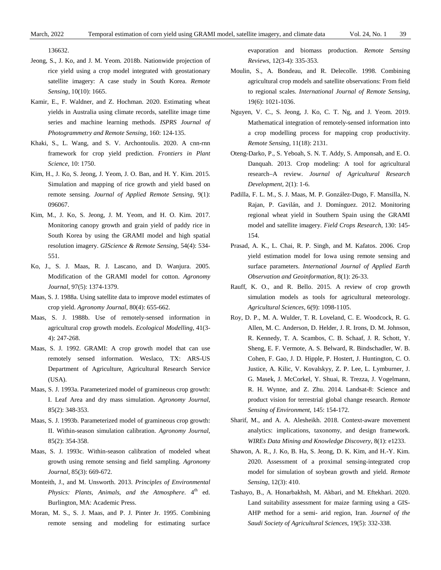136632.

- <span id="page-13-5"></span>Jeong, S., J. Ko, and J. M. Yeom. 2018b. Nationwide projection of rice yield using a crop model integrated with geostationary satellite imagery: A case study in South Korea. *Remote Sensing*, 10(10): 1665.
- <span id="page-13-18"></span>Kamir, E., F. Waldner, and Z. Hochman. 2020. Estimating wheat yields in Australia using climate records, satellite image time series and machine learning methods. *ISPRS Journal of Photogrammetry and Remote Sensing*, 160: 124-135.
- <span id="page-13-0"></span>Khaki, S., L. Wang, and S. V. Archontoulis. 2020. A cnn-rnn framework for crop yield prediction. *Frontiers in Plant Science*, 10: 1750.
- <span id="page-13-4"></span>Kim, H., J. Ko, S. Jeong, J. Yeom, J. O. Ban, and H. Y. Kim. 2015. Simulation and mapping of rice growth and yield based on remote sensing. *Journal of Applied Remote Sensing*, 9(1): 096067.
- <span id="page-13-15"></span>Kim, M., J. Ko, S. Jeong, J. M. Yeom, and H. O. Kim. 2017. Monitoring canopy growth and grain yield of paddy rice in South Korea by using the GRAMI model and high spatial resolution imagery. *GIScience & Remote Sensing*, 54(4): 534- 551.
- <span id="page-13-10"></span>Ko, J., S. J. Maas, R. J. Lascano, and D. Wanjura. 2005. Modification of the GRAMI model for cotton. *Agronomy Journal*, 97(5): 1374-1379.
- <span id="page-13-23"></span>Maas, S. J. 1988a. Using satellite data to improve model estimates of crop yield. *Agronomy Journal*, 80(4): 655-662.
- <span id="page-13-22"></span>Maas, S. J. 1988b. Use of remotely-sensed information in agricultural crop growth models. *Ecological Modelling*, 41(3- 4): 247-268.
- <span id="page-13-12"></span>Maas, S. J. 1992. GRAMI: A crop growth model that can use remotely sensed information. Weslaco, TX: ARS-US Department of Agriculture, Agricultural Research Service (USA).
- <span id="page-13-13"></span>Maas, S. J. 1993a. Parameterized model of gramineous crop growth: I. Leaf Area and dry mass simulation. *Agronomy Journal*, 85(2): 348-353.
- <span id="page-13-14"></span>Maas, S. J. 1993b. Parameterized model of gramineous crop growth: II. Within-season simulation calibration. *Agronomy Journal*, 85(2): 354-358.
- <span id="page-13-19"></span>Maas, S. J. 1993c. Within-season calibration of modeled wheat growth using remote sensing and field sampling. *Agronomy Journal*, 85(3): 669-672.
- <span id="page-13-20"></span>Monteith, J., and M. Unsworth. 2013. *Principles of Environmental Physics: Plants, Animals, and the Atmosphere.* 4<sup>th</sup> ed. Burlington, MA: Academic Press.
- <span id="page-13-7"></span>Moran, M. S., S. J. Maas, and P. J. Pinter Jr. 1995. Combining remote sensing and modeling for estimating surface

evaporation and biomass production. *Remote Sensing Reviews*, 12(3-4): 335-353.

- <span id="page-13-6"></span>Moulin, S., A. Bondeau, and R. Delecolle. 1998. Combining agricultural crop models and satellite observations: From field to regional scales. *International Journal of Remote Sensing*, 19(6): 1021-1036.
- <span id="page-13-3"></span>Nguyen, V. C., S. Jeong, J. Ko, C. T. Ng, and J. Yeom. 2019. Mathematical integration of remotely-sensed information into a crop modelling process for mapping crop productivity. *Remote Sensing*, 11(18): 2131.
- <span id="page-13-9"></span>Oteng-Darko, P., S. Yeboah, S. N. T. Addy, S. Amponsah, and E. O. Danquah. 2013. Crop modeling: A tool for agricultural research–A review. *Journal of Agricultural Research Development*, 2(1): 1-6.
- <span id="page-13-11"></span>Padilla, F. L. M., S. J. Maas, M. P. González-Dugo, F. Mansilla, N. Rajan, P. Gavilán, and J. Domínguez. 2012. Monitoring regional wheat yield in Southern Spain using the GRAMI model and satellite imagery. *Field Crops Research*, 130: 145- 154.
- <span id="page-13-21"></span>Prasad, A. K., L. Chai, R. P. Singh, and M. Kafatos. 2006. Crop yield estimation model for Iowa using remote sensing and surface parameters. *International Journal of Applied Earth Observation and Geoinformation*, 8(1): 26-33.
- <span id="page-13-8"></span>Rauff, K. O., and R. Bello. 2015. A review of crop growth simulation models as tools for agricultural meteorology. *Agricultural Sciences*, 6(9): 1098-1105.
- <span id="page-13-2"></span>Roy, D. P., M. A. Wulder, T. R. Loveland, C. E. Woodcock, R. G. Allen, M. C. Anderson, D. Helder, J. R. Irons, D. M. Johnson, R. Kennedy, T. A. Scambos, C. B. Schaaf, J. R. Schott, Y. Sheng, E. F. Vermote, A. S. Belward, R. Bindschadler, W. B. Cohen, F. Gao, J. D. Hipple, P. Hostert, J. Huntington, C. O. Justice, A. Kilic, V. Kovalskyy, Z. P. Lee, L. Lymburner, J. G. Masek, J. McCorkel, Y. Shuai, R. Trezza, J. Vogelmann, R. H. Wynne, and Z. Zhu. 2014. Landsat-8: Science and product vision for terrestrial global change research. *Remote Sensing of Environment*, 145: 154-172.
- <span id="page-13-1"></span>Sharif, M., and A. A. Alesheikh. 2018. Context-aware movement analytics: implications, taxonomy, and design framework. *WIREs Data Mining and Knowledge Discovery*, 8(1): e1233.
- <span id="page-13-17"></span>Shawon, A. R., J. Ko, B. Ha, S. Jeong, D. K. Kim, and H.-Y. Kim. 2020. Assessment of a proximal sensing-integrated crop model for simulation of soybean growth and yield. *Remote Sensing*, 12(3): 410.
- <span id="page-13-16"></span>Tashayo, B., A. Honarbakhsh, M. Akbari, and M. Eftekhari. 2020. Land suitability assessment for maize farming using a GIS-AHP method for a semi- arid region, Iran. *Journal of the Saudi Society of Agricultural Sciences*, 19(5): 332-338.